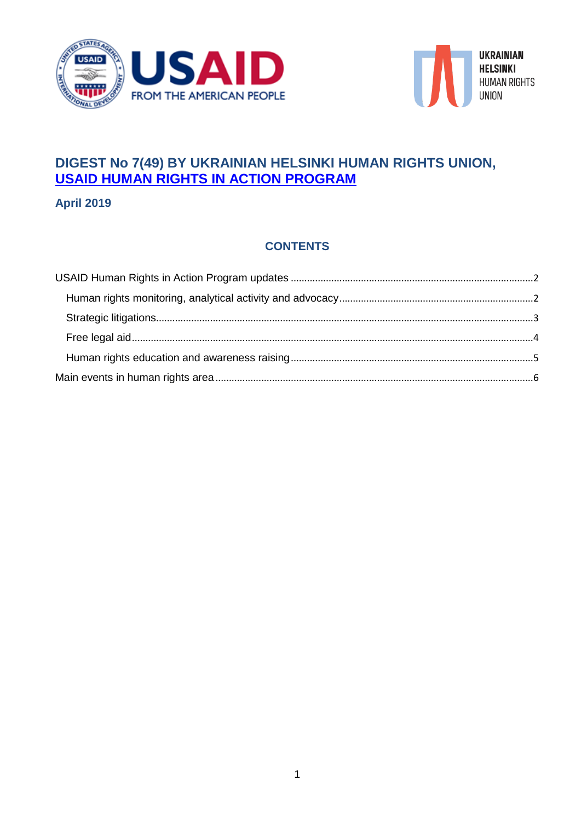



# **DIGEST No 7(49) BY UKRAINIAN HELSINKI HUMAN RIGHTS UNION, USAID HUMAN RIGHTS IN ACTION PROGRAM**

**April 2019**

### **CONTENTS**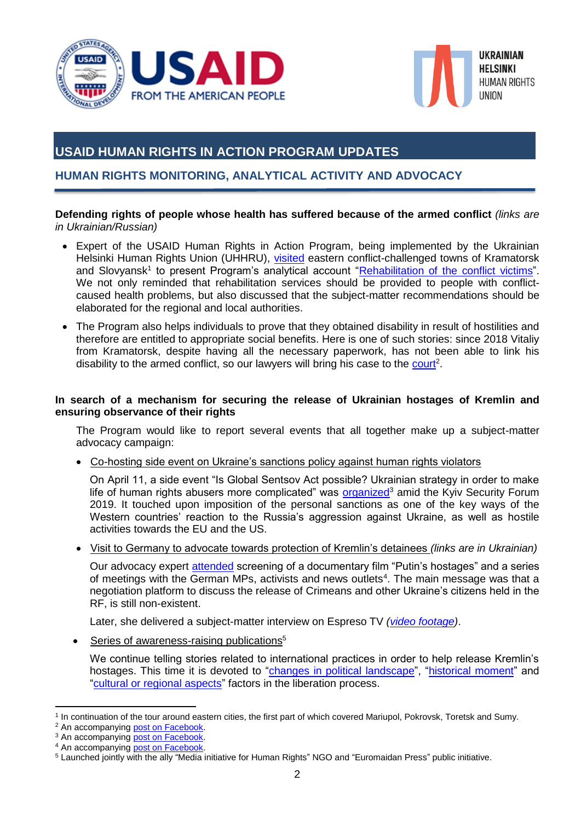



## <span id="page-1-0"></span>**USAID HUMAN RIGHTS IN ACTION PROGRAM UPDATES**

### <span id="page-1-1"></span>**HUMAN RIGHTS MONITORING, ANALYTICAL ACTIVITY AND ADVOCACY**

#### **Defending rights of people whose health has suffered because of the armed conflict** *(links are in Ukrainian/Russian)*

- Expert of the USAID Human Rights in Action Program, being implemented by the Ukrainian Helsinki Human Rights Union (UHHRU), [visited](https://www.facebook.com/permalink.php?story_fbid=2316327765055956&id=100000362641246) eastern conflict-challenged towns of Kramatorsk and Slovyansk<sup>1</sup> to present Program's analytical account ["Rehabilitation of the conflict](https://helsinki.org.ua/articles/analitychnyj-zvit-uhspl-reabilitatsiya-zhertv-konfliktu-chy-proponuje-derzhava-schos-krim-vstanovlennya-invalidnosti-ta-mylyts/) victims". We not only reminded that rehabilitation services should be provided to people with conflictcaused health problems, but also discussed that the subject-matter recommendations should be elaborated for the regional and local authorities.
- The Program also helps individuals to prove that they obtained disability in result of hostilities and therefore are entitled to appropriate social benefits. Here is one of such stories: since 2018 Vitaliy from Kramatorsk, despite having all the necessary paperwork, has not been able to link his disability to the armed conflict, so our lawyers will bring his case to the [court](https://helsinki.org.ua/articles/blahannya-pro-reabilitatsiyu-ukrajinets-poranenyj-u-zbrojnomu-konflikti-ne-mozhe-dovesty-tse-komisiji/?fbclid=IwAR0oCM9-eclTOfdlQGAn05pAHYmcv9bVNEgEYb7dhiOEvbhBB-D6hCvuLn0)<sup>2</sup>.

#### **In search of a mechanism for securing the release of Ukrainian hostages of Kremlin and ensuring observance of their rights**

The Program would like to report several events that all together make up a subject-matter advocacy campaign:

Co-hosting side event on Ukraine's sanctions policy against human rights violators

On April 11, a side event "Is Global Sentsov Act possible? Ukrainian strategy in order to make life of human rights abusers more complicated" was **organized<sup>3</sup> amid the Kyiv Security Forum** 2019. It touched upon imposition of the personal sanctions as one of the key ways of the Western countries' reaction to the Russia's aggression against Ukraine, as well as hostile activities towards the EU and the US.

Visit to Germany to advocate towards protection of Kremlin's detainees *(links are in Ukrainian)*

Our advocacy expert [attended](https://helsinki.org.ua/articles/u-nimechchyni-vidbuvsya-pokaz-filmu-zaruchnyky-putina-ta-nyzka-advokatsijnyh-zustrichej/?fbclid=IwAR1rbZYvYQT1r3byydOIidGOdYupBbEz0mrQTX8YzFFvbC1ZFPVgkme6ab0) screening of a documentary film "Putin's hostages" and a series of meetings with the German MPs, activists and news outlets<sup>4</sup>. The main message was that a negotiation platform to discuss the release of Crimeans and other Ukraine's citizens held in the RF, is still non-existent.

Later, she delivered a subject-matter interview on Espreso TV *[\(video footage\)](https://espreso.tv/video/265999)*.

 $\bullet$  Series of awareness-raising publications<sup>5</sup>

We continue telling stories related to international practices in order to help release Kremlin's hostages. This time it is devoted to ["changes in political landscape"](https://www.facebook.com/Ugspl/photos/a.180853561962608/2130156937032251/?type=3&theater), ["historical moment"](https://www.facebook.com/Ugspl/photos/a.180853561962608/2149158251798786/?type=3&theater) and ["cultural or regional aspects"](https://www.facebook.com/hashtag/mustbeliberated?epa=HASHTAG) factors in the liberation process.

**<sup>.</sup>** 1 In continuation of the tour around eastern cities, the first part of which covered Mariupol, Pokrovsk, Toretsk and Sumy.

<sup>&</sup>lt;sup>2</sup> An accompanyin[g post on Facebook.](https://www.facebook.com/Ugspl/posts/2130172747030670?__tn__=-R)

<sup>&</sup>lt;sup>3</sup> An accompanyin[g post on Facebook.](https://www.facebook.com/Ugspl/posts/2142796989101579?__tn__=-R)

<sup>&</sup>lt;sup>4</sup> An accompanying **post on Facebook**.

<sup>5</sup> Launched jointly with the ally "Media initiative for Human Rights" NGO and "Euromaidan Press" public initiative.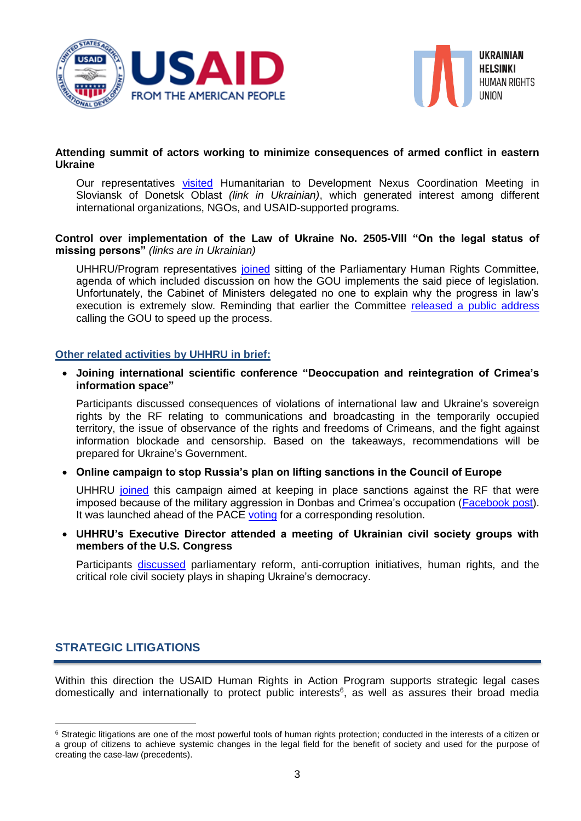



#### **Attending summit of actors working to minimize consequences of armed conflict in eastern Ukraine**

Our representatives [visited](https://www.facebook.com/Ugspl/posts/2147498015298143?__tn__=-R) Humanitarian to Development Nexus Coordination Meeting in Sloviansk of Donetsk Oblast *(link in Ukrainian)*, which generated interest among different international organizations, NGOs, and USAID-supported programs.

#### **Control over implementation of the Law of Ukraine No. 2505-VIII "On the legal status of missing persons"** *(links are in Ukrainian)*

UHHRU/Program representatives [joined](https://helsinki.org.ua/articles/zakon-schodo-znyklyh-bezvisty-ne-vykonujetsya-vidpovidalnist-za-tse-nihto-ne-nese/) sitting of the Parliamentary Human Rights Committee, agenda of which included discussion on how the GOU implements the said piece of legislation. Unfortunately, the Cabinet of Ministers delegated no one to explain why the progress in law's execution is extremely slow. Reminding that earlier the Committee [released a public address](http://kompravlud.rada.gov.ua/news/main_news/74022.html?fbclid=IwAR25CtMhVdTr_GWyBs8Kf76Q2inNnwVf3un5PSndaP-G6dUgXnHyrNqtdDE) calling the GOU to speed up the process.

#### **Other related activities by UHHRU in brief:**

 **Joining international scientific conference "Deoccupation and reintegration of Crimea's information space"**

Participants discussed consequences of violations of international law and Ukraine's sovereign rights by the RF relating to communications and broadcasting in the temporarily occupied territory, the issue of observance of the rights and freedoms of Crimeans, and the fight against information blockade and censorship. Based on the takeaways, recommendations will be prepared for Ukraine's Government.

#### **Online campaign to stop Russia's plan on lifting sanctions in the Council of Europe**

UHHRU [joined](https://helsinki.org.ua/en/articles/join-an-online-campaign-to-stop-putin-s-sly-plan-to-lift-sanctions-against-russia-in-the-council-of-europe/) this campaign aimed at keeping in place sanctions against the RF that were imposed because of the military aggression in Donbas and Crimea's occupation [\(Facebook](https://www.facebook.com/Ugspl/posts/2136464046401540?__tn__=-R) post). It was launched ahead of the PACE [voting](#page-6-0) for a corresponding resolution.

 **UHHRU's Executive Director attended a meeting of Ukrainian civil society groups with members of the U.S. Congress**

Participants [discussed](https://www.facebook.com/usdos.ukraine/posts/10156679865641936) parliamentary reform, anti-corruption initiatives, human rights, and the critical role civil society plays in shaping Ukraine's democracy.

#### <span id="page-2-0"></span>**STRATEGIC LITIGATIONS**

1

Within this direction the USAID Human Rights in Action Program supports strategic legal cases domestically and internationally to protect public interests<sup>6</sup>, as well as assures their broad media

<sup>&</sup>lt;sup>6</sup> Strategic litigations are one of the most powerful tools of human rights protection; conducted in the interests of a citizen or a group of citizens to achieve systemic changes in the legal field for the benefit of society and used for the purpose of creating the case-law (precedents).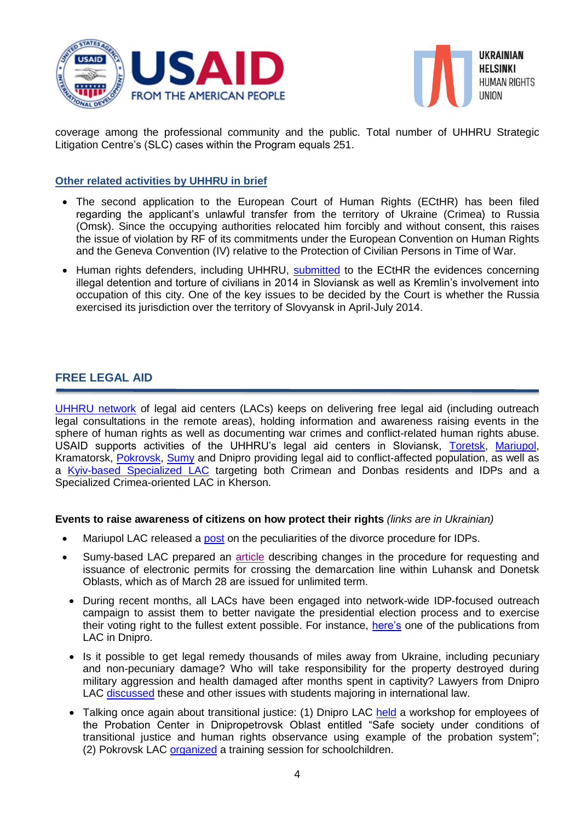



coverage among the professional community and the public. Total number of UHHRU Strategic Litigation Centre's (SLC) cases within the Program equals 251.

#### **Other related activities by UHHRU in brief**

- The second application to the European Court of Human Rights (ECtHR) has been filed regarding the applicant's unlawful transfer from the territory of Ukraine (Crimea) to Russia (Omsk). Since the occupying authorities relocated him forcibly and without consent, this raises the issue of violation by RF of its commitments under the European Convention on Human Rights and the Geneva Convention (IV) relative to the Protection of Civilian Persons in Time of War.
- Human rights defenders, including UHHRU, [submitted](https://helsinki.org.ua/en/articles/human-rights-defenders-submitted-the-evidences-of-russia-s-involvement-in-slovyansk-occupation-to-the-european-court-of-human-rights/) to the ECtHR the evidences concerning illegal detention and torture of civilians in 2014 in Sloviansk as well as Kremlin's involvement into occupation of this city. One of the key issues to be decided by the Court is whether the Russia exercised its jurisdiction over the territory of Slovyansk in April-July 2014.

#### <span id="page-3-0"></span>**FREE LEGAL AID**

[UHHRU network](http://helsinki.org.ua/index.php?r=1.3.2) of legal aid centers (LACs) keeps on delivering free legal aid (including outreach legal consultations in the remote areas), holding information and awareness raising events in the sphere of human rights as well as documenting war crimes and conflict-related human rights abuse. USAID supports activities of the UHHRU's legal aid centers in Sloviansk, [Toretsk,](https://www.facebook.com/UGSPL.Toretsk/?ref=br_rs) [Mariupol,](https://www.facebook.com/Приймальня-УГСПЛ-м-Маріуполі-175156829504672/?fref=ts) Kramatorsk, [Pokrovsk,](https://www.facebook.com/ugsplPOKROVSK/?fref=ts) [Sumy](https://www.facebook.com/Приймальня-УГСПЛ-м-Суми-184659441906383/?hc_ref=NEWSFEED) and Dnipro providing legal aid to conflict-affected population, as well as a [Kyiv-based Specialized LAC](https://www.facebook.com/pravdop.donbas.krym/?hc_ref=NEWSFEED&fref=nf) targeting both Crimean and Donbas residents and IDPs and a Specialized Crimea-oriented LAC in Kherson.

#### **Events to raise awareness of citizens on how protect their rights** *(links are in Ukrainian)*

- Mariupol LAC released a [post](https://www.facebook.com/ugsplMariupol/posts/852178128469202) on the peculiarities of the divorce procedure for IDPs.
- Sumy-based LAC prepared an [article](https://www.facebook.com/permalink.php?story_fbid=796063627432625&id=184659441906383&__tn__=-R) describing changes in the procedure for requesting and issuance of electronic permits for crossing the demarcation line within Luhansk and Donetsk Oblasts, which as of March 28 are issued for unlimited term.
- During recent months, all LACs have been engaged into network-wide IDP-focused outreach campaign to assist them to better navigate the presidential election process and to exercise their voting right to the fullest extent possible. For instance, [here's](https://www.facebook.com/pgsich/posts/2296609627262048) one of the publications from LAC in Dnipro.
- Is it possible to get legal remedy thousands of miles away from Ukraine, including pecuniary and non-pecuniary damage? Who will take responsibility for the property destroyed during military aggression and health damaged after months spent in captivity? Lawyers from Dnipro LAC [discussed](https://www.facebook.com/pgsich/posts/2297244200531924) these and other issues with students majoring in international law.
- Talking once again about transitional justice: (1) Dnipro LAC [held](https://www.facebook.com/pgsich/posts/2306642549592089?__tn__=-R) a workshop for employees of the Probation Center in Dnipropetrovsk Oblast entitled "Safe society under conditions of transitional justice and human rights observance using example of the probation system"; (2) Pokrovsk LAC [organized](https://www.facebook.com/ugsplPOKROVSK/posts/2297677860484186?__tn__=-R) a training session for schoolchildren.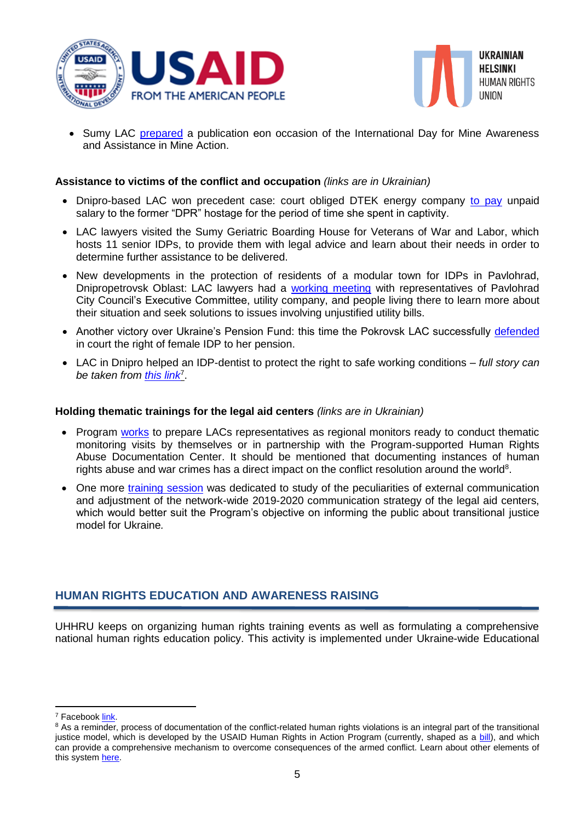



• Sumy LAC [prepared](https://www.facebook.com/184659441906383/photos/a.187073111665016/800041230368198/?type=3&theater) a publication eon occasion of the International Day for Mine Awareness and Assistance in Mine Action.

#### **Assistance to victims of the conflict and occupation** *(links are in Ukrainian)*

- Dnipro-based LAC won precedent case: court obliged DTEK energy company [to pay](https://helsinki.org.ua/articles/kolyshni-poloneni-mozhut-otrymaty-vid-robotodavtsya-zarplatnyu-za-chas-provedenyj-u-nevoli/) unpaid salary to the former "DPR" hostage for the period of time she spent in captivity.
- LAC lawyers visited the Sumy Geriatric Boarding House for Veterans of War and Labor, which hosts 11 senior IDPs, to provide them with legal advice and learn about their needs in order to determine further assistance to be delivered.
- New developments in the protection of residents of a modular town for IDPs in Pavlohrad, Dnipropetrovsk Oblast: LAC lawyers had a [working meeting](https://www.facebook.com/pgsich/posts/2301642833425394) with representatives of Pavlohrad City Council's Executive Committee, utility company, and people living there to learn more about their situation and seek solutions to issues involving unjustified utility bills.
- Another victory over Ukraine's Pension Fund: this time the Pokrovsk LAC successfully [defended](https://www.facebook.com/ugsplPOKROVSK/photos/a.1925702484348394/2299721420279830/?type=1&theater) in court the right of female IDP to her pension.
- LAC in Dnipro helped an IDP-dentist to protect the right to safe working conditions *full story can*  be taken from [this link](https://helsinki.org.ua/articles/bojova-pereselenka-zahystyla-svoje-pravo-na-bezpechni-umovy-pratsi-ta-pravo-patsijentiv-na-yakisnu-medytsynu/)<sup>7</sup>.

#### **Holding thematic trainings for the legal aid centers** *(links are in Ukrainian)*

- Program [works](https://www.facebook.com/Ugspl/posts/2114743331906945?__tn__=-R) to prepare LACs representatives as regional monitors ready to conduct thematic monitoring visits by themselves or in partnership with the Program-supported Human Rights Abuse Documentation Center. It should be mentioned that documenting instances of human rights abuse and war crimes has a direct impact on the conflict resolution around the world<sup>8</sup>.
- One more [training session](https://www.facebook.com/Ugspl/posts/2142870769094201?__tn__=-R) was dedicated to study of the peculiarities of external communication and adjustment of the network-wide 2019-2020 communication strategy of the legal aid centers, which would better suit the Program's objective on informing the public about transitional justice model for Ukraine*.*

#### <span id="page-4-0"></span>**HUMAN RIGHTS EDUCATION AND AWARENESS RAISING**

UHHRU keeps on organizing human rights training events as well as formulating a comprehensive national human rights education policy. This activity is implemented under Ukraine-wide Educational

**.** 

<sup>7</sup> Faceboo[k link.](https://www.facebook.com/Ugspl/posts/2157154080999203?__tn__=-R)

<sup>&</sup>lt;sup>8</sup> As a reminder, process of documentation of the conflict-related human rights violations is an integral part of the transitional justice model, which is developed by the USAID Human Rights in Action Program (currently, shaped as a [bill\)](https://helsinki.org.ua/articles/uhspl-ta-ukrajinskyj-instytut-prav-lyudyny-prezentuvaly-zakonoproekt-schodo-derzhpolityky-zahystu-prav-lyudyny-v-umovah-podolannya-naslidkiv-zbrojnoho-konfliktu/), and which can provide a comprehensive mechanism to overcome consequences of the armed conflict. Learn about other elements of this system [here.](https://helsinki.org.ua/publications/bazove-doslidzhennya-iz-zastosuvannya-pravosuddya-perehidnoho-periodu-v-ukrajini/)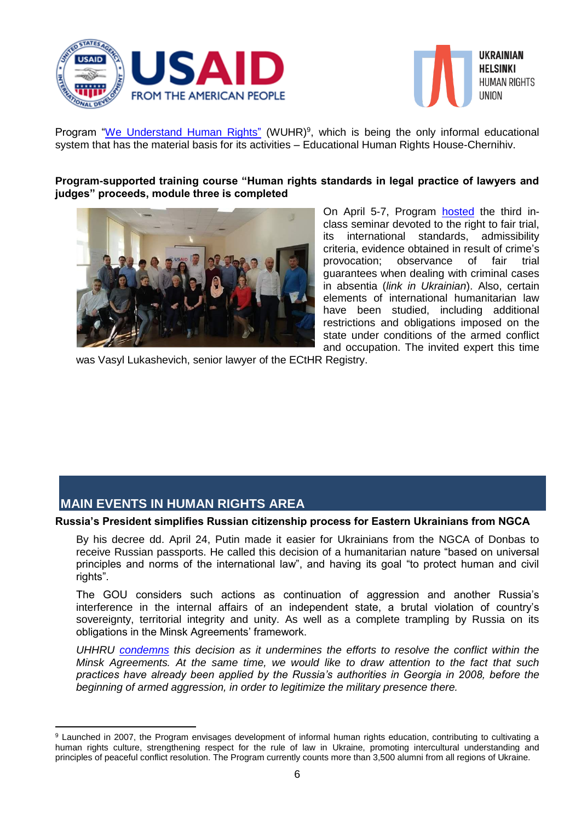



Program ["We Understand Human Rights"](http://edu.helsinki.org.ua/) (WUHR)<sup>9</sup>, which is being the only informal educational system that has the material basis for its activities – Educational Human Rights House-Chernihiv.

#### **Program-supported training course "Human rights standards in legal practice of lawyers and judges" proceeds, module three is completed**



On April 5-7, Program [hosted](https://helsinki.org.ua/articles/pravo-na-spravedlyvyj-sud-yak-nevid-jemnyj-element-roboty-advokativ-i-suddiv-v-ukrajini/) the third inclass seminar devoted to the right to fair trial, its international standards, admissibility criteria, evidence obtained in result of crime's provocation; observance of fair trial guarantees when dealing with criminal cases in absentia (*link in Ukrainian*). Also, certain elements of international humanitarian law have been studied, including additional restrictions and obligations imposed on the state under conditions of the armed conflict and occupation. The invited expert this time

was Vasyl Lukashevich, senior lawyer of the ECtHR Registry.

### <span id="page-5-0"></span>**MAIN EVENTS IN HUMAN RIGHTS AREA**

1

#### **Russia's President simplifies Russian citizenship process for Eastern Ukrainians from NGCA**

By his decree dd. April 24, Putin made it easier for Ukrainians from the NGCA of Donbas to receive Russian passports. He called this decision of a humanitarian nature "based on universal principles and norms of the international law", and having its goal "to protect human and civil rights".

The GOU considers such actions as continuation of aggression and another Russia's interference in the internal affairs of an independent state, a brutal violation of country's sovereignty, territorial integrity and unity. As well as a complete trampling by Russia on its obligations in the Minsk Agreements' framework.

*UHHRU [condemns](https://helsinki.org.ua/en/appeals/statement-of-the-ukrainian-helsinki-human-rights-union-on-threats-of-the-rf-presidential-decree-on-defining-for-humanitarian-purposes-categories-of-persons-entitled-to-apply-for-acquiring-russian/) this decision as it undermines the efforts to resolve the conflict within the Minsk Agreements. At the same time, we would like to draw attention to the fact that such practices have already been applied by the Russia's authorities in Georgia in 2008, before the beginning of armed aggression, in order to legitimize the military presence there.*

<sup>9</sup> Launched in 2007, the Program envisages development of informal human rights education, contributing to cultivating a human rights culture, strengthening respect for the rule of law in Ukraine, promoting intercultural understanding and principles of peaceful conflict resolution. The Program currently counts more than 3,500 alumni from all regions of Ukraine.